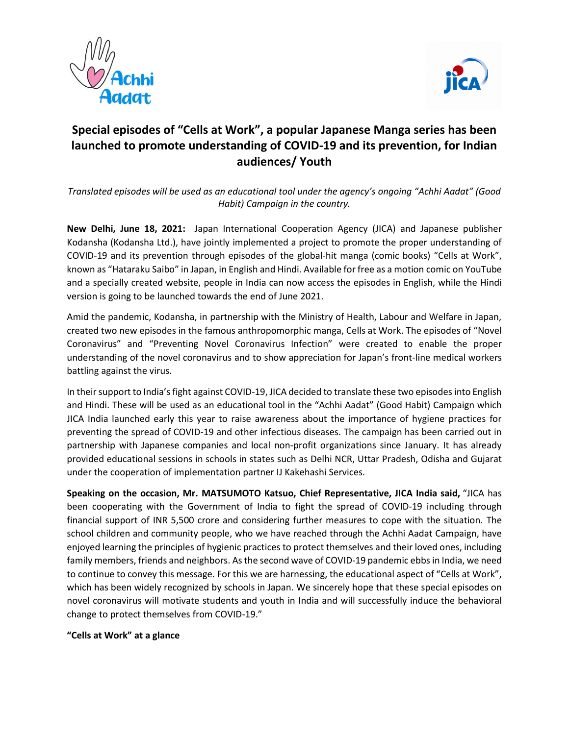



## **Special episodes of "Cells at Work", a popular Japanese Manga series has been launched to promote understanding of COVID-19 and its prevention, for Indian audiences/ Youth**

*Translated episodes will be used as an educational tool under the agency's ongoing "Achhi Aadat" (Good Habit) Campaign in the country.*

**New Delhi, June 18, 2021:** Japan International Cooperation Agency (JICA) and Japanese publisher Kodansha (Kodansha Ltd.), have jointly implemented a project to promote the proper understanding of COVID-19 and its prevention through episodes of the global-hit manga (comic books) "Cells at Work", known as "Hataraku Saibo" in Japan, in English and Hindi. Available for free as a motion comic on YouTube and a specially created website, people in India can now access the episodes in English, while the Hindi version is going to be launched towards the end of June 2021.

Amid the pandemic, Kodansha, in partnership with the Ministry of Health, Labour and Welfare in Japan, created two new episodes in the famous anthropomorphic manga, Cells at Work. The episodes of "Novel Coronavirus" and "Preventing Novel Coronavirus Infection" were created to enable the proper understanding of the novel coronavirus and to show appreciation for Japan's front-line medical workers battling against the virus.

In their support to India's fight against COVID-19, JICA decided to translate these two episodes into English and Hindi. These will be used as an educational tool in the "Achhi Aadat" (Good Habit) Campaign which JICA India launched early this year to raise awareness about the importance of hygiene practices for preventing the spread of COVID-19 and other infectious diseases. The campaign has been carried out in partnership with Japanese companies and local non-profit organizations since January. It has already provided educational sessions in schools in states such as Delhi NCR, Uttar Pradesh, Odisha and Gujarat under the cooperation of implementation partner IJ Kakehashi Services.

**Speaking on the occasion, Mr. MATSUMOTO Katsuo, Chief Representative, JICA India said,** "JICA has been cooperating with the Government of India to fight the spread of COVID-19 including through financial support of INR 5,500 crore and considering further measures to cope with the situation. The school children and community people, who we have reached through the Achhi Aadat Campaign, have enjoyed learning the principles of hygienic practices to protect themselves and their loved ones, including family members, friends and neighbors. As the second wave of COVID-19 pandemic ebbsin India, we need to continue to convey this message. For this we are harnessing, the educational aspect of "Cells at Work", which has been widely recognized by schools in Japan. We sincerely hope that these special episodes on novel coronavirus will motivate students and youth in India and will successfully induce the behavioral change to protect themselves from COVID-19."

## **"Cells at Work" at a glance**